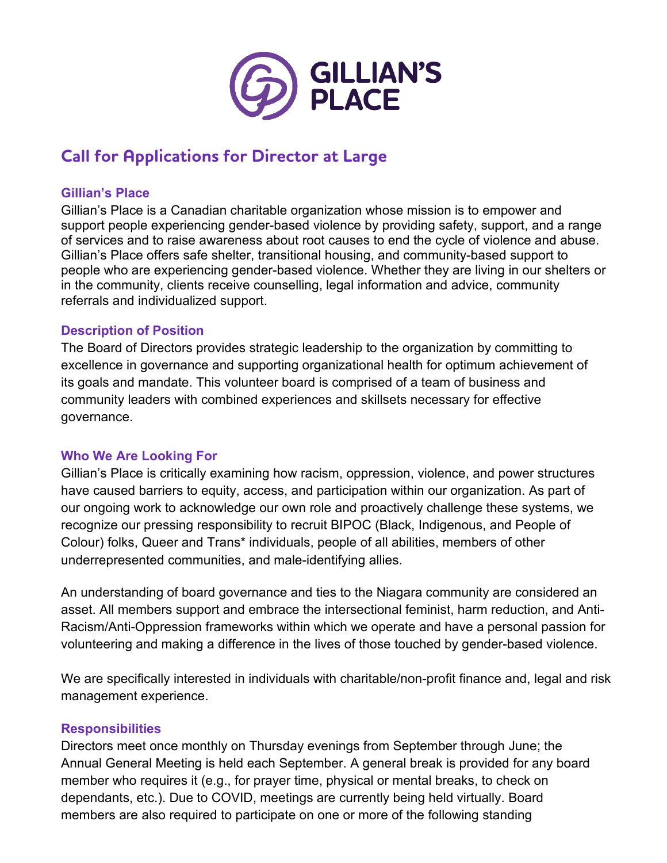

# **Call for Applications for Director at Large**

## **Gillian's Place**

Gillian's Place is a Canadian charitable organization whose mission is to empower and support people experiencing gender-based violence by providing safety, support, and a range of services and to raise awareness about root causes to end the cycle of violence and abuse. Gillian's Place offers safe shelter, transitional housing, and community-based support to people who are experiencing gender-based violence. Whether they are living in our shelters or in the community, clients receive counselling, legal information and advice, community referrals and individualized support.

## **Description of Position**

The Board of Directors provides strategic leadership to the organization by committing to excellence in governance and supporting organizational health for optimum achievement of its goals and mandate. This volunteer board is comprised of a team of business and community leaders with combined experiences and skillsets necessary for effective governance.

### **Who We Are Looking For**

Gillian's Place is critically examining how racism, oppression, violence, and power structures have caused barriers to equity, access, and participation within our organization. As part of our ongoing work to acknowledge our own role and proactively challenge these systems, we recognize our pressing responsibility to recruit BIPOC (Black, Indigenous, and People of Colour) folks, Queer and Trans\* individuals, people of all abilities, members of other underrepresented communities, and male-identifying allies.

An understanding of board governance and ties to the Niagara community are considered an asset. All members support and embrace the intersectional feminist, harm reduction, and Anti-Racism/Anti-Oppression frameworks within which we operate and have a personal passion for volunteering and making a difference in the lives of those touched by gender-based violence.

We are specifically interested in individuals with charitable/non-profit finance and, legal and risk management experience.

### **Responsibilities**

Directors meet once monthly on Thursday evenings from September through June; the Annual General Meeting is held each September. A general break is provided for any board member who requires it (e.g., for prayer time, physical or mental breaks, to check on dependants, etc.). Due to COVID, meetings are currently being held virtually. Board members are also required to participate on one or more of the following standing